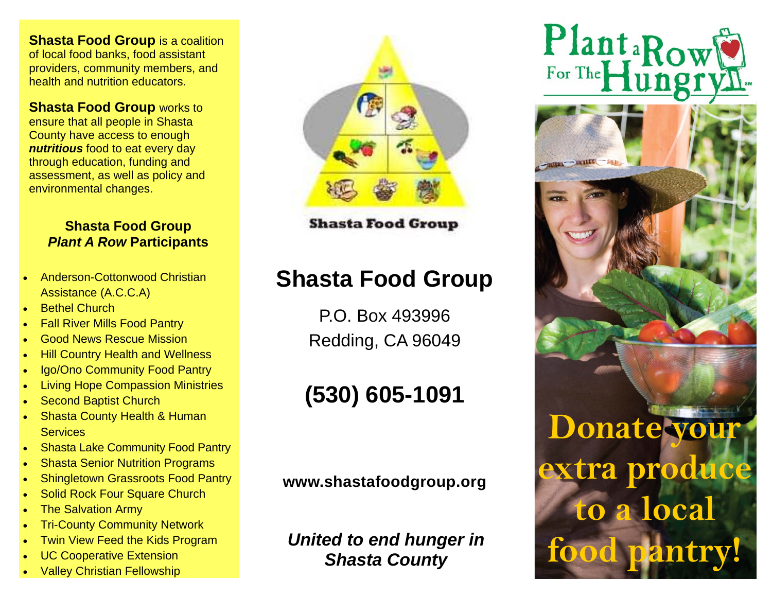**Shasta Food Group** is a coalition of local food banks, food assistant providers, community members, and health and nutrition educators.

**Shasta Food Group** works to ensure that all people in Shasta County have access to enough *nutritious* food to eat every day through education, funding and assessment, as well as policy and environmental changes.

### **Shasta Food Group Plant A Row Participants**

- $\bullet$  Anderson-Cottonwood Christian Assistance (A.C.C.A)
- $\bullet$ Bethel Church
- $\bullet$ Fall River Mills Food Pantry
- $\bullet$ Good News Rescue Mission
- $\bullet$ Hill Country Health and Wellness
- $\bullet$ Igo/Ono Community Food Pantry
- $\bullet$ Living Hope Compassion Ministries
- $\bullet$ Second Baptist Church
- $\bullet$  Shasta County Health & Human **Services**
- $\bullet$ Shasta Lake Community Food Pantry
- $\bullet$ Shasta Senior Nutrition Programs
- $\bullet$ Shingletown Grassroots Food Pantry
- $\bullet$ Solid Rock Four Square Church
- $\bullet$ The Salvation Army
- $\bullet$ Tri-County Community Network
- $\bullet$ Twin View Feed the Kids Program
- $\bullet$ UC Cooperative Extension
- $\bullet$ Valley Christian Fellowship



**Shasta Food Group** 

## **Shasta Food Group**

P.O. Box 493996 Redding, CA 96049

# **(530) 605-1091**

**www.shastafoodgroup.org** 

*United to end hunger in Shasta County*